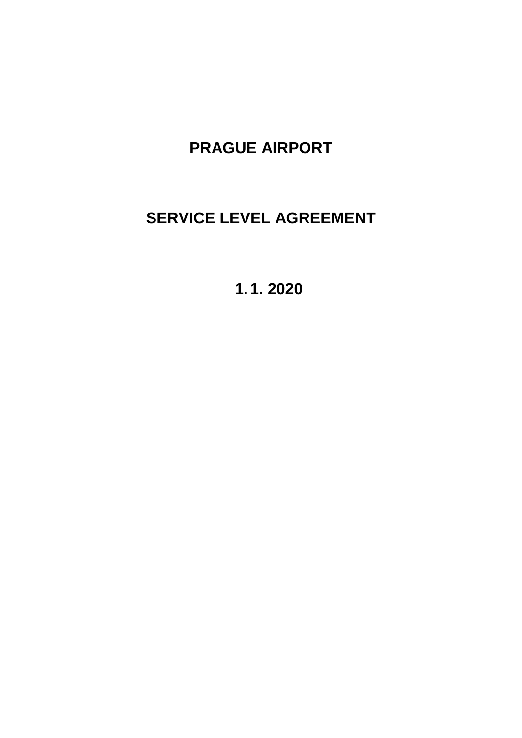# **PRAGUE AIRPORT**

# **SERVICE LEVEL AGREEMENT**

**1.1. 2020**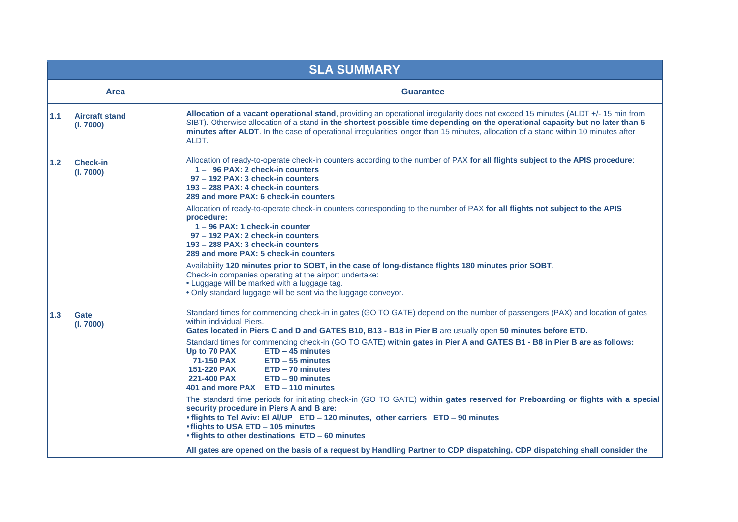| <b>SLA SUMMARY</b> |                                    |                                                                                                                                                                                                                                                                                                                                                                                                                                                                                                                                                                                                                                                                                                                                                                  |  |  |  |  |
|--------------------|------------------------------------|------------------------------------------------------------------------------------------------------------------------------------------------------------------------------------------------------------------------------------------------------------------------------------------------------------------------------------------------------------------------------------------------------------------------------------------------------------------------------------------------------------------------------------------------------------------------------------------------------------------------------------------------------------------------------------------------------------------------------------------------------------------|--|--|--|--|
|                    | <b>Area</b><br><b>Guarantee</b>    |                                                                                                                                                                                                                                                                                                                                                                                                                                                                                                                                                                                                                                                                                                                                                                  |  |  |  |  |
| 1.1                | <b>Aircraft stand</b><br>(I. 7000) | Allocation of a vacant operational stand, providing an operational irregularity does not exceed 15 minutes (ALDT +/-15 min from<br>SIBT). Otherwise allocation of a stand in the shortest possible time depending on the operational capacity but no later than 5<br>minutes after ALDT. In the case of operational irregularities longer than 15 minutes, allocation of a stand within 10 minutes after<br>ALDT.                                                                                                                                                                                                                                                                                                                                                |  |  |  |  |
| 1.2                | <b>Check-in</b><br>(I. 7000)       | Allocation of ready-to-operate check-in counters according to the number of PAX for all flights subject to the APIS procedure:<br>1- 96 PAX: 2 check-in counters<br>97 - 192 PAX: 3 check-in counters<br>193 - 288 PAX: 4 check-in counters<br>289 and more PAX: 6 check-in counters                                                                                                                                                                                                                                                                                                                                                                                                                                                                             |  |  |  |  |
| procedure:         |                                    | Allocation of ready-to-operate check-in counters corresponding to the number of PAX for all flights not subject to the APIS<br>1-96 PAX: 1 check-in counter<br>97 - 192 PAX: 2 check-in counters<br>193 - 288 PAX: 3 check-in counters<br>289 and more PAX: 5 check-in counters                                                                                                                                                                                                                                                                                                                                                                                                                                                                                  |  |  |  |  |
|                    |                                    | Availability 120 minutes prior to SOBT, in the case of long-distance flights 180 minutes prior SOBT.<br>Check-in companies operating at the airport undertake:<br>• Luggage will be marked with a luggage tag.<br>. Only standard luggage will be sent via the luggage conveyor.                                                                                                                                                                                                                                                                                                                                                                                                                                                                                 |  |  |  |  |
| 1.3                | Gate<br>(I. 7000)                  | Standard times for commencing check-in in gates (GO TO GATE) depend on the number of passengers (PAX) and location of gates<br>within individual Piers.<br>Gates located in Piers C and D and GATES B10, B13 - B18 in Pier B are usually open 50 minutes before ETD.<br>Standard times for commencing check-in (GO TO GATE) within gates in Pier A and GATES B1 - B8 in Pier B are as follows:<br>Up to 70 PAX<br>ETD - 45 minutes<br>71-150 PAX<br>$ETD - 55$ minutes<br>151-220 PAX<br>ETD - 70 minutes<br>221-400 PAX<br>ETD - 90 minutes<br>401 and more PAX ETD - 110 minutes<br>The standard time periods for initiating check-in (GO TO GATE) within gates reserved for Preboarding or flights with a special<br>security procedure in Piers A and B are: |  |  |  |  |
|                    |                                    | . flights to Tel Aviv: El Al/UP ETD - 120 minutes, other carriers ETD - 90 minutes<br>. flights to USA ETD - 105 minutes<br>. flights to other destinations ETD - 60 minutes<br>All gates are opened on the basis of a request by Handling Partner to CDP dispatching. CDP dispatching shall consider the                                                                                                                                                                                                                                                                                                                                                                                                                                                        |  |  |  |  |
|                    |                                    |                                                                                                                                                                                                                                                                                                                                                                                                                                                                                                                                                                                                                                                                                                                                                                  |  |  |  |  |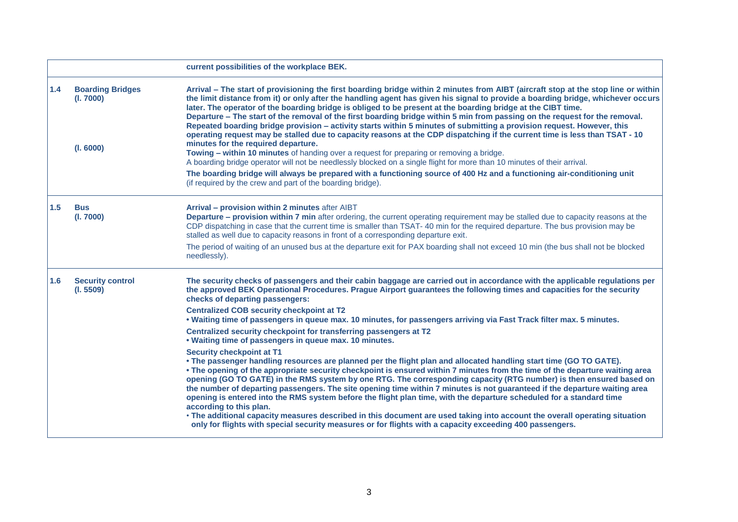|     |                                                   | current possibilities of the workplace BEK.                                                                                                                                                                                                                                                                                                                                                                                                                                                                                                                                                                                                                                                                                                                                                                                                                                                                                                                                                                                                                                                                                                                                                                                                                                                                                                                                                                                                                                                                                                     |
|-----|---------------------------------------------------|-------------------------------------------------------------------------------------------------------------------------------------------------------------------------------------------------------------------------------------------------------------------------------------------------------------------------------------------------------------------------------------------------------------------------------------------------------------------------------------------------------------------------------------------------------------------------------------------------------------------------------------------------------------------------------------------------------------------------------------------------------------------------------------------------------------------------------------------------------------------------------------------------------------------------------------------------------------------------------------------------------------------------------------------------------------------------------------------------------------------------------------------------------------------------------------------------------------------------------------------------------------------------------------------------------------------------------------------------------------------------------------------------------------------------------------------------------------------------------------------------------------------------------------------------|
| 1.4 | <b>Boarding Bridges</b><br>(I. 7000)<br>(I. 6000) | Arrival - The start of provisioning the first boarding bridge within 2 minutes from AIBT (aircraft stop at the stop line or within<br>the limit distance from it) or only after the handling agent has given his signal to provide a boarding bridge, whichever occurs<br>later. The operator of the boarding bridge is obliged to be present at the boarding bridge at the CIBT time.<br>Departure - The start of the removal of the first boarding bridge within 5 min from passing on the request for the removal.<br>Repeated boarding bridge provision – activity starts within 5 minutes of submitting a provision request. However, this<br>operating request may be stalled due to capacity reasons at the CDP dispatching if the current time is less than TSAT - 10<br>minutes for the required departure.<br>Towing – within 10 minutes of handing over a request for preparing or removing a bridge.<br>A boarding bridge operator will not be needlessly blocked on a single flight for more than 10 minutes of their arrival.<br>The boarding bridge will always be prepared with a functioning source of 400 Hz and a functioning air-conditioning unit<br>(if required by the crew and part of the boarding bridge).                                                                                                                                                                                                                                                                                                            |
| 1.5 | <b>Bus</b><br>(I. 7000)                           | Arrival - provision within 2 minutes after AIBT<br>Departure - provision within 7 min after ordering, the current operating requirement may be stalled due to capacity reasons at the<br>CDP dispatching in case that the current time is smaller than TSAT-40 min for the required departure. The bus provision may be<br>stalled as well due to capacity reasons in front of a corresponding departure exit.<br>The period of waiting of an unused bus at the departure exit for PAX boarding shall not exceed 10 min (the bus shall not be blocked<br>needlessly).                                                                                                                                                                                                                                                                                                                                                                                                                                                                                                                                                                                                                                                                                                                                                                                                                                                                                                                                                                           |
| 1.6 | <b>Security control</b><br>(I. 5509)              | The security checks of passengers and their cabin baggage are carried out in accordance with the applicable regulations per<br>the approved BEK Operational Procedures. Prague Airport guarantees the following times and capacities for the security<br>checks of departing passengers:<br><b>Centralized COB security checkpoint at T2</b><br>. Waiting time of passengers in queue max. 10 minutes, for passengers arriving via Fast Track filter max. 5 minutes.<br>Centralized security checkpoint for transferring passengers at T2<br>. Waiting time of passengers in queue max. 10 minutes.<br><b>Security checkpoint at T1</b><br>• The passenger handling resources are planned per the flight plan and allocated handling start time (GO TO GATE).<br>• The opening of the appropriate security checkpoint is ensured within 7 minutes from the time of the departure waiting area<br>opening (GO TO GATE) in the RMS system by one RTG. The corresponding capacity (RTG number) is then ensured based on<br>the number of departing passengers. The site opening time within 7 minutes is not guaranteed if the departure waiting area<br>opening is entered into the RMS system before the flight plan time, with the departure scheduled for a standard time<br>according to this plan.<br>• The additional capacity measures described in this document are used taking into account the overall operating situation<br>only for flights with special security measures or for flights with a capacity exceeding 400 passengers. |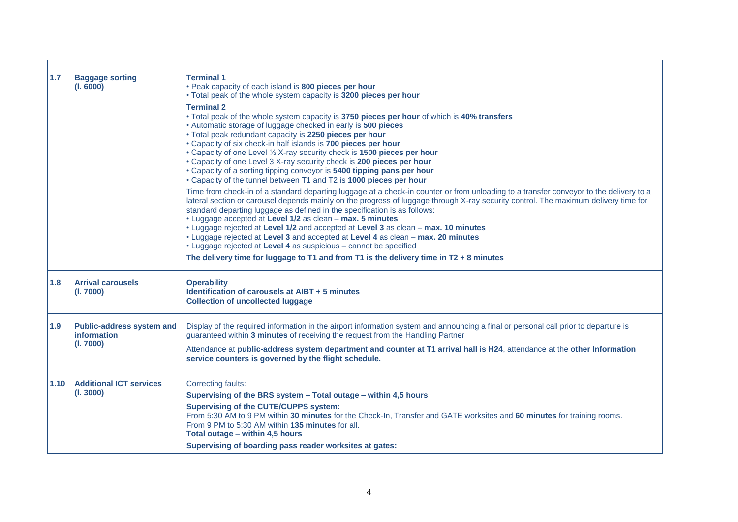| 1.7                                                                                                                                                                                                           | <b>Baggage sorting</b><br>(I. 6000)         | <b>Terminal 1</b><br>• Peak capacity of each island is 800 pieces per hour<br>. Total peak of the whole system capacity is 3200 pieces per hour<br><b>Terminal 2</b><br>. Total peak of the whole system capacity is 3750 pieces per hour of which is 40% transfers<br>• Automatic storage of luggage checked in early is 500 pieces<br>. Total peak redundant capacity is 2250 pieces per hour<br>• Capacity of six check-in half islands is 700 pieces per hour<br>• Capacity of one Level 1/2 X-ray security check is 1500 pieces per hour<br>• Capacity of one Level 3 X-ray security check is 200 pieces per hour<br>. Capacity of a sorting tipping conveyor is 5400 tipping pans per hour<br>• Capacity of the tunnel between T1 and T2 is 1000 pieces per hour |  |
|---------------------------------------------------------------------------------------------------------------------------------------------------------------------------------------------------------------|---------------------------------------------|------------------------------------------------------------------------------------------------------------------------------------------------------------------------------------------------------------------------------------------------------------------------------------------------------------------------------------------------------------------------------------------------------------------------------------------------------------------------------------------------------------------------------------------------------------------------------------------------------------------------------------------------------------------------------------------------------------------------------------------------------------------------|--|
|                                                                                                                                                                                                               |                                             | Time from check-in of a standard departing luggage at a check-in counter or from unloading to a transfer conveyor to the delivery to a<br>lateral section or carousel depends mainly on the progress of luggage through X-ray security control. The maximum delivery time for<br>standard departing luggage as defined in the specification is as follows:<br>• Luggage accepted at Level 1/2 as clean - max. 5 minutes<br>• Luggage rejected at Level 1/2 and accepted at Level 3 as clean - max. 10 minutes<br>• Luggage rejected at Level 3 and accepted at Level 4 as clean - max. 20 minutes<br>• Luggage rejected at Level 4 as suspicious - cannot be specified<br>The delivery time for luggage to T1 and from T1 is the delivery time in $T2 + 8$ minutes     |  |
| 1.8                                                                                                                                                                                                           | <b>Arrival carousels</b><br>(l. 7000)       | <b>Operability</b><br>Identification of carousels at AIBT + 5 minutes<br><b>Collection of uncollected luggage</b>                                                                                                                                                                                                                                                                                                                                                                                                                                                                                                                                                                                                                                                      |  |
| 1.9<br><b>Public-address system and</b><br>guaranteed within 3 minutes of receiving the request from the Handling Partner<br>information<br>(I. 7000)<br>service counters is governed by the flight schedule. |                                             | Display of the required information in the airport information system and announcing a final or personal call prior to departure is<br>Attendance at public-address system department and counter at T1 arrival hall is H24, attendance at the other Information                                                                                                                                                                                                                                                                                                                                                                                                                                                                                                       |  |
| 1.10                                                                                                                                                                                                          | <b>Additional ICT services</b><br>(l. 3000) | <b>Correcting faults:</b><br>Supervising of the BRS system - Total outage - within 4,5 hours<br><b>Supervising of the CUTE/CUPPS system:</b><br>From 5:30 AM to 9 PM within 30 minutes for the Check-In, Transfer and GATE worksites and 60 minutes for training rooms.<br>From 9 PM to 5:30 AM within 135 minutes for all.<br>Total outage - within 4,5 hours<br>Supervising of boarding pass reader worksites at gates:                                                                                                                                                                                                                                                                                                                                              |  |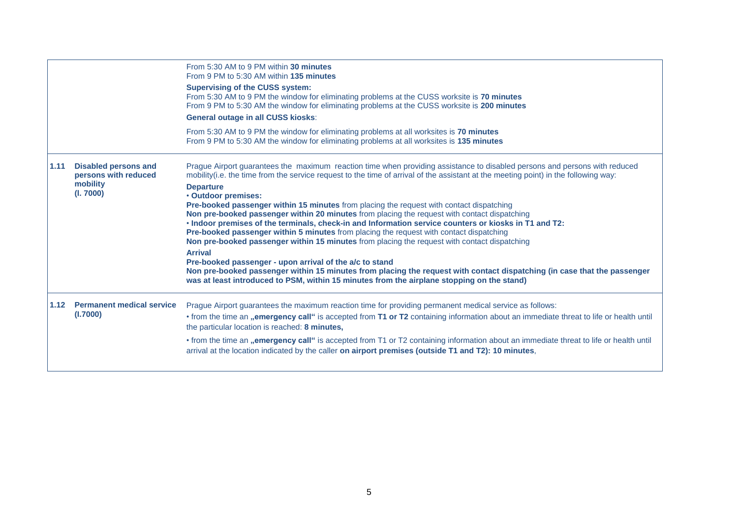|                                                                                      |                                              | From 5:30 AM to 9 PM within 30 minutes<br>From 9 PM to 5:30 AM within 135 minutes<br><b>Supervising of the CUSS system:</b><br>From 5:30 AM to 9 PM the window for eliminating problems at the CUSS worksite is 70 minutes<br>From 9 PM to 5:30 AM the window for eliminating problems at the CUSS worksite is 200 minutes<br><b>General outage in all CUSS kiosks:</b><br>From 5:30 AM to 9 PM the window for eliminating problems at all worksites is 70 minutes                                                                                                                                                                                                                                                                                                                                                                                                                                                                                                                                                                                                                                                         |
|--------------------------------------------------------------------------------------|----------------------------------------------|----------------------------------------------------------------------------------------------------------------------------------------------------------------------------------------------------------------------------------------------------------------------------------------------------------------------------------------------------------------------------------------------------------------------------------------------------------------------------------------------------------------------------------------------------------------------------------------------------------------------------------------------------------------------------------------------------------------------------------------------------------------------------------------------------------------------------------------------------------------------------------------------------------------------------------------------------------------------------------------------------------------------------------------------------------------------------------------------------------------------------|
|                                                                                      |                                              | From 9 PM to 5:30 AM the window for eliminating problems at all worksites is 135 minutes                                                                                                                                                                                                                                                                                                                                                                                                                                                                                                                                                                                                                                                                                                                                                                                                                                                                                                                                                                                                                                   |
| <b>Disabled persons and</b><br>1.11<br>persons with reduced<br>mobility<br>(I. 7000) |                                              | Prague Airport guarantees the maximum reaction time when providing assistance to disabled persons and persons with reduced<br>mobility(i.e. the time from the service request to the time of arrival of the assistant at the meeting point) in the following way:<br><b>Departure</b><br>• Outdoor premises:<br><b>Pre-booked passenger within 15 minutes</b> from placing the request with contact dispatching<br>Non pre-booked passenger within 20 minutes from placing the request with contact dispatching<br>. Indoor premises of the terminals, check-in and Information service counters or kiosks in T1 and T2:<br>Pre-booked passenger within 5 minutes from placing the request with contact dispatching<br>Non pre-booked passenger within 15 minutes from placing the request with contact dispatching<br><b>Arrival</b><br>Pre-booked passenger - upon arrival of the a/c to stand<br>Non pre-booked passenger within 15 minutes from placing the request with contact dispatching (in case that the passenger<br>was at least introduced to PSM, within 15 minutes from the airplane stopping on the stand) |
| 1.12                                                                                 | <b>Permanent medical service</b><br>(I.7000) | Prague Airport guarantees the maximum reaction time for providing permanent medical service as follows:<br>• from the time an "emergency call" is accepted from T1 or T2 containing information about an immediate threat to life or health until<br>the particular location is reached: 8 minutes,                                                                                                                                                                                                                                                                                                                                                                                                                                                                                                                                                                                                                                                                                                                                                                                                                        |
|                                                                                      |                                              | • from the time an "emergency call" is accepted from T1 or T2 containing information about an immediate threat to life or health until<br>arrival at the location indicated by the caller on airport premises (outside T1 and T2): 10 minutes,                                                                                                                                                                                                                                                                                                                                                                                                                                                                                                                                                                                                                                                                                                                                                                                                                                                                             |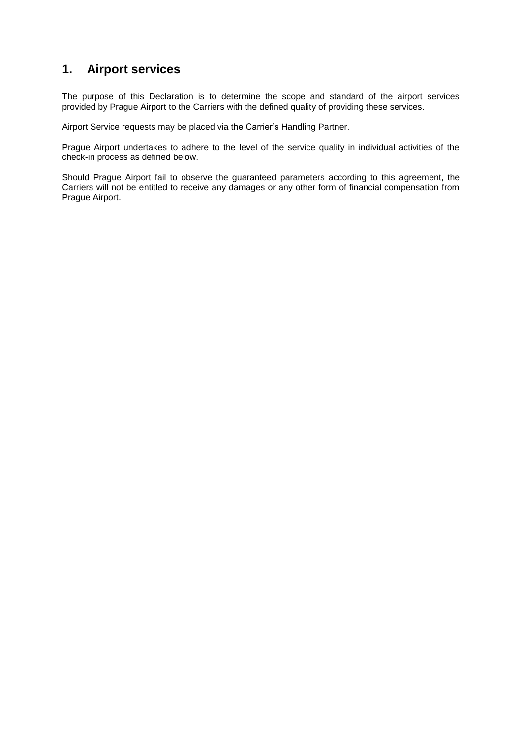# **1. Airport services**

The purpose of this Declaration is to determine the scope and standard of the airport services provided by Prague Airport to the Carriers with the defined quality of providing these services.

Airport Service requests may be placed via the Carrier's Handling Partner.

Prague Airport undertakes to adhere to the level of the service quality in individual activities of the check-in process as defined below.

Should Prague Airport fail to observe the guaranteed parameters according to this agreement, the Carriers will not be entitled to receive any damages or any other form of financial compensation from Prague Airport.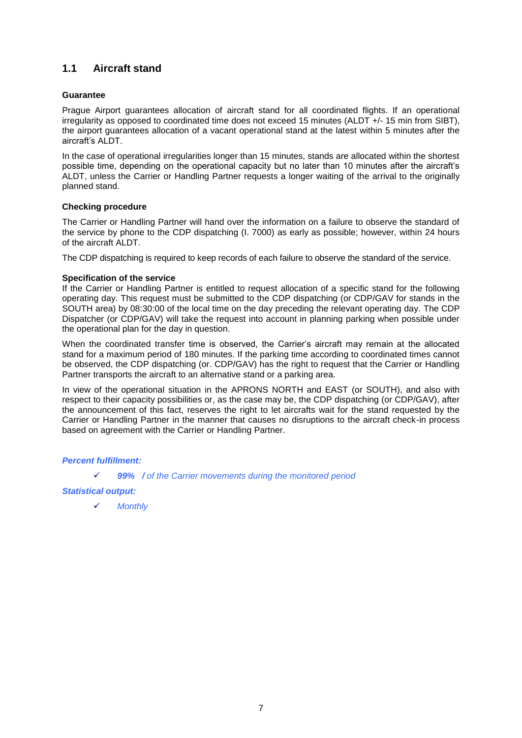# **1.1 Aircraft stand**

#### **Guarantee**

Prague Airport guarantees allocation of aircraft stand for all coordinated flights. If an operational irregularity as opposed to coordinated time does not exceed 15 minutes (ALDT +/- 15 min from SIBT), the airport guarantees allocation of a vacant operational stand at the latest within 5 minutes after the aircraft's ALDT.

In the case of operational irregularities longer than 15 minutes, stands are allocated within the shortest possible time, depending on the operational capacity but no later than 10 minutes after the aircraft's ALDT, unless the Carrier or Handling Partner requests a longer waiting of the arrival to the originally planned stand.

#### **Checking procedure**

The Carrier or Handling Partner will hand over the information on a failure to observe the standard of the service by phone to the CDP dispatching (I. 7000) as early as possible; however, within 24 hours of the aircraft ALDT.

The CDP dispatching is required to keep records of each failure to observe the standard of the service.

#### **Specification of the service**

If the Carrier or Handling Partner is entitled to request allocation of a specific stand for the following operating day. This request must be submitted to the CDP dispatching (or CDP/GAV for stands in the SOUTH area) by 08:30:00 of the local time on the day preceding the relevant operating day. The CDP Dispatcher (or CDP/GAV) will take the request into account in planning parking when possible under the operational plan for the day in question.

When the coordinated transfer time is observed, the Carrier's aircraft may remain at the allocated stand for a maximum period of 180 minutes. If the parking time according to coordinated times cannot be observed, the CDP dispatching (or. CDP/GAV) has the right to request that the Carrier or Handling Partner transports the aircraft to an alternative stand or a parking area.

In view of the operational situation in the APRONS NORTH and EAST (or SOUTH), and also with respect to their capacity possibilities or, as the case may be, the CDP dispatching (or CDP/GAV), after the announcement of this fact, reserves the right to let aircrafts wait for the stand requested by the Carrier or Handling Partner in the manner that causes no disruptions to the aircraft check-in process based on agreement with the Carrier or Handling Partner.

*Percent fulfillment:*

*99% / of the Carrier movements during the monitored period*

*Statistical output:*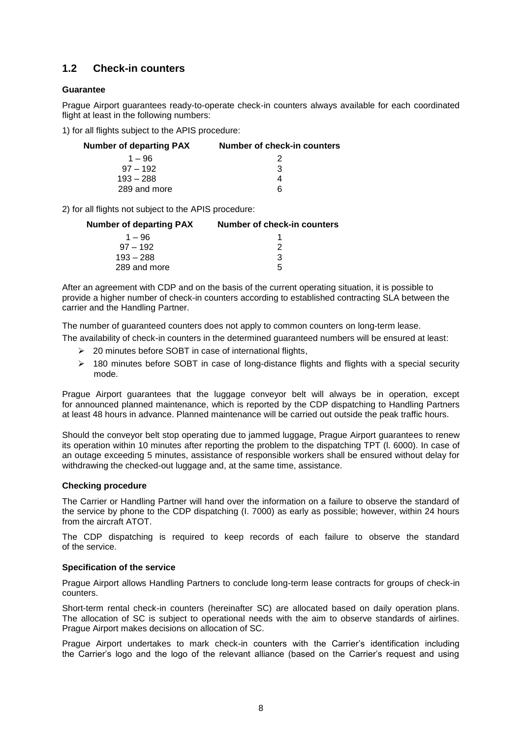# **1.2 Check-in counters**

# **Guarantee**

Prague Airport guarantees ready-to-operate check-in counters always available for each coordinated flight at least in the following numbers:

1) for all flights subject to the APIS procedure:

| <b>Number of departing PAX</b> | Number of check-in counters |  |
|--------------------------------|-----------------------------|--|
| $1 - 96$                       |                             |  |
| $.97 - 192$                    | 3                           |  |
| $193 - 288$                    |                             |  |
| 289 and more                   | 6                           |  |
|                                |                             |  |

2) for all flights not subject to the APIS procedure:

| Number of check-in counters |
|-----------------------------|
|                             |
|                             |
| 3                           |
| .h                          |
|                             |

After an agreement with CDP and on the basis of the current operating situation, it is possible to provide a higher number of check-in counters according to established contracting SLA between the carrier and the Handling Partner.

The number of guaranteed counters does not apply to common counters on long-term lease.

The availability of check-in counters in the determined guaranteed numbers will be ensured at least:

- $\geq$  20 minutes before SOBT in case of international flights,
- $\geq$  180 minutes before SOBT in case of long-distance flights and flights with a special security mode.

Prague Airport guarantees that the luggage conveyor belt will always be in operation, except for announced planned maintenance, which is reported by the CDP dispatching to Handling Partners at least 48 hours in advance. Planned maintenance will be carried out outside the peak traffic hours.

Should the conveyor belt stop operating due to jammed luggage, Prague Airport guarantees to renew its operation within 10 minutes after reporting the problem to the dispatching TPT (l. 6000). In case of an outage exceeding 5 minutes, assistance of responsible workers shall be ensured without delay for withdrawing the checked-out luggage and, at the same time, assistance.

## **Checking procedure**

The Carrier or Handling Partner will hand over the information on a failure to observe the standard of the service by phone to the CDP dispatching (I. 7000) as early as possible; however, within 24 hours from the aircraft ATOT.

The CDP dispatching is required to keep records of each failure to observe the standard of the service.

## **Specification of the service**

Prague Airport allows Handling Partners to conclude long-term lease contracts for groups of check-in counters.

Short-term rental check-in counters (hereinafter SC) are allocated based on daily operation plans. The allocation of SC is subject to operational needs with the aim to observe standards of airlines. Prague Airport makes decisions on allocation of SC.

Prague Airport undertakes to mark check-in counters with the Carrier's identification including the Carrier's logo and the logo of the relevant alliance (based on the Carrier's request and using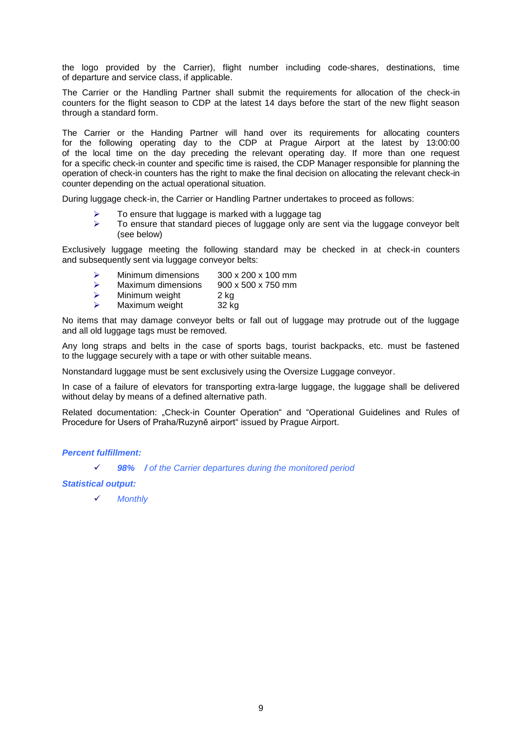the logo provided by the Carrier), flight number including code-shares, destinations, time of departure and service class, if applicable.

The Carrier or the Handling Partner shall submit the requirements for allocation of the check-in counters for the flight season to CDP at the latest 14 days before the start of the new flight season through a standard form.

The Carrier or the Handing Partner will hand over its requirements for allocating counters for the following operating day to the CDP at Prague Airport at the latest by 13:00:00 of the local time on the day preceding the relevant operating day. If more than one request for a specific check-in counter and specific time is raised, the CDP Manager responsible for planning the operation of check-in counters has the right to make the final decision on allocating the relevant check-in counter depending on the actual operational situation.

During luggage check-in, the Carrier or Handling Partner undertakes to proceed as follows:

- To ensure that luggage is marked with a luggage tag
- $\triangleright$  To ensure that standard pieces of luggage only are sent via the luggage conveyor belt (see below)

Exclusively luggage meeting the following standard may be checked in at check-in counters and subsequently sent via luggage conveyor belts:

- $\geq$  Minimum dimensions 300 x 200 x 100 mm<br> $\geq$  Maximum dimensions 900 x 500 x 750 mm
- Maximum dimensions
- $\geq$  Minimum weight 2 kg<br>  $\geq$  Maximum weight 32 kg
- Maximum weight 32 kg

No items that may damage conveyor belts or fall out of luggage may protrude out of the luggage and all old luggage tags must be removed.

Any long straps and belts in the case of sports bags, tourist backpacks, etc. must be fastened to the luggage securely with a tape or with other suitable means.

Nonstandard luggage must be sent exclusively using the Oversize Luggage conveyor.

In case of a failure of elevators for transporting extra-large luggage, the luggage shall be delivered without delay by means of a defined alternative path.

Related documentation: "Check-in Counter Operation" and "Operational Guidelines and Rules of Procedure for Users of Praha/Ruzyně airport" issued by Prague Airport.

## *Percent fulfillment:*

*98% / of the Carrier departures during the monitored period*

#### *Statistical output:*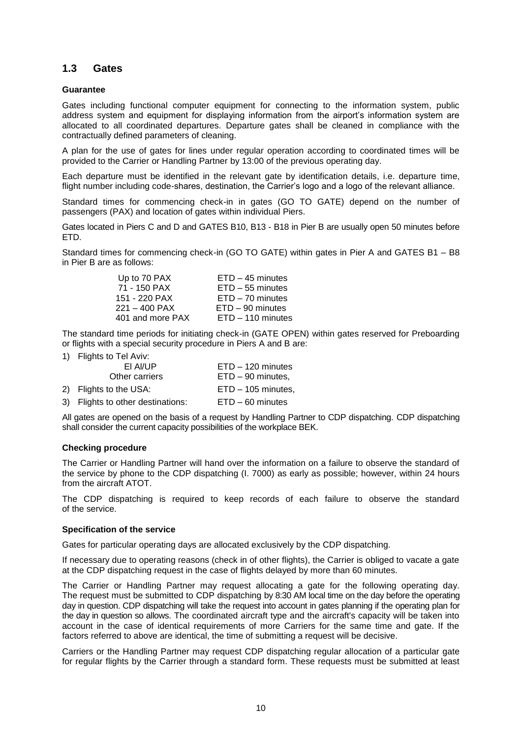# **1.3 Gates**

#### **Guarantee**

Gates including functional computer equipment for connecting to the information system, public address system and equipment for displaying information from the airport's information system are allocated to all coordinated departures. Departure gates shall be cleaned in compliance with the contractually defined parameters of cleaning.

A plan for the use of gates for lines under regular operation according to coordinated times will be provided to the Carrier or Handling Partner by 13:00 of the previous operating day.

Each departure must be identified in the relevant gate by identification details, i.e. departure time, flight number including code-shares, destination, the Carrier's logo and a logo of the relevant alliance.

Standard times for commencing check-in in gates (GO TO GATE) depend on the number of passengers (PAX) and location of gates within individual Piers.

Gates located in Piers C and D and GATES B10, B13 - B18 in Pier B are usually open 50 minutes before ETD.

Standard times for commencing check-in (GO TO GATE) within gates in Pier A and GATES B1 – B8 in Pier B are as follows:

| Up to 70 PAX     | $ETD - 45$ minutes  |
|------------------|---------------------|
| 71 - 150 PAX     | $ETD - 55$ minutes  |
| 151 - 220 PAX    | $ETD - 70$ minutes  |
| $221 - 400$ PAX  | $ETD - 90$ minutes  |
| 401 and more PAX | $ETD - 110$ minutes |
|                  |                     |

The standard time periods for initiating check-in (GATE OPEN) within gates reserved for Preboarding or flights with a special security procedure in Piers A and B are:

1) Flights to Tel Aviv:

| EI AI/UP                          | $ETD - 120$ minutes  |
|-----------------------------------|----------------------|
| Other carriers                    | $ETD - 90$ minutes.  |
| 2) Flights to the USA:            | $ETD - 105$ minutes, |
| 3) Flights to other destinations: | $ETD - 60$ minutes   |

All gates are opened on the basis of a request by Handling Partner to CDP dispatching. CDP dispatching shall consider the current capacity possibilities of the workplace BEK.

#### **Checking procedure**

The Carrier or Handling Partner will hand over the information on a failure to observe the standard of the service by phone to the CDP dispatching (I. 7000) as early as possible; however, within 24 hours from the aircraft ATOT.

The CDP dispatching is required to keep records of each failure to observe the standard of the service.

#### **Specification of the service**

Gates for particular operating days are allocated exclusively by the CDP dispatching.

If necessary due to operating reasons (check in of other flights), the Carrier is obliged to vacate a gate at the CDP dispatching request in the case of flights delayed by more than 60 minutes.

The Carrier or Handling Partner may request allocating a gate for the following operating day. The request must be submitted to CDP dispatching by 8:30 AM local time on the day before the operating day in question. CDP dispatching will take the request into account in gates planning if the operating plan for the day in question so allows. The coordinated aircraft type and the aircraft's capacity will be taken into account in the case of identical requirements of more Carriers for the same time and gate. If the factors referred to above are identical, the time of submitting a request will be decisive.

Carriers or the Handling Partner may request CDP dispatching regular allocation of a particular gate for regular flights by the Carrier through a standard form. These requests must be submitted at least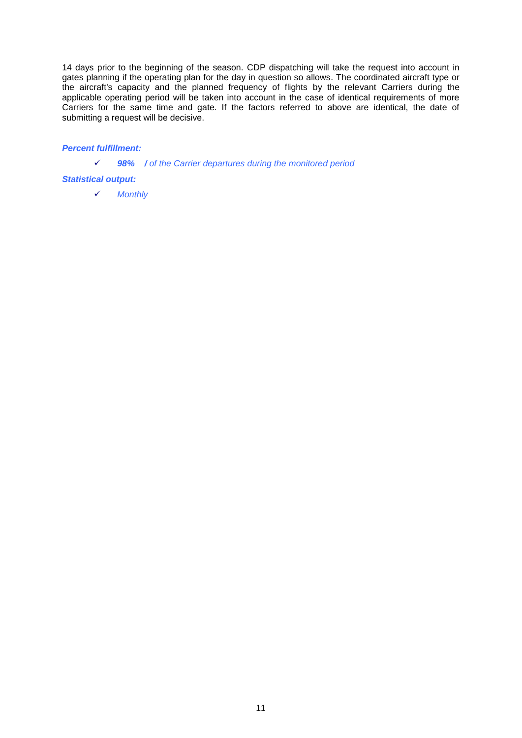14 days prior to the beginning of the season. CDP dispatching will take the request into account in gates planning if the operating plan for the day in question so allows. The coordinated aircraft type or the aircraft's capacity and the planned frequency of flights by the relevant Carriers during the applicable operating period will be taken into account in the case of identical requirements of more Carriers for the same time and gate. If the factors referred to above are identical, the date of submitting a request will be decisive.

# *Percent fulfillment:*

*98% / of the Carrier departures during the monitored period*

## *Statistical output:*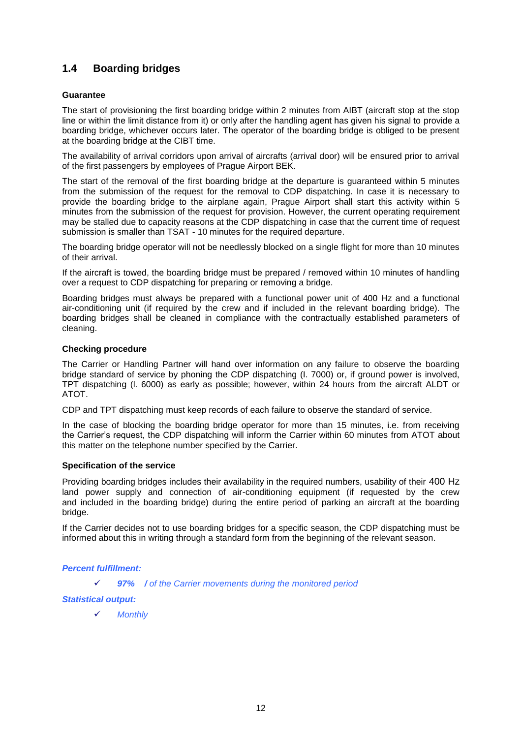# **1.4 Boarding bridges**

## **Guarantee**

The start of provisioning the first boarding bridge within 2 minutes from AIBT (aircraft stop at the stop line or within the limit distance from it) or only after the handling agent has given his signal to provide a boarding bridge, whichever occurs later. The operator of the boarding bridge is obliged to be present at the boarding bridge at the CIBT time.

The availability of arrival corridors upon arrival of aircrafts (arrival door) will be ensured prior to arrival of the first passengers by employees of Prague Airport BEK.

The start of the removal of the first boarding bridge at the departure is guaranteed within 5 minutes from the submission of the request for the removal to CDP dispatching. In case it is necessary to provide the boarding bridge to the airplane again, Prague Airport shall start this activity within 5 minutes from the submission of the request for provision. However, the current operating requirement may be stalled due to capacity reasons at the CDP dispatching in case that the current time of request submission is smaller than TSAT - 10 minutes for the required departure.

The boarding bridge operator will not be needlessly blocked on a single flight for more than 10 minutes of their arrival.

If the aircraft is towed, the boarding bridge must be prepared / removed within 10 minutes of handling over a request to CDP dispatching for preparing or removing a bridge.

Boarding bridges must always be prepared with a functional power unit of 400 Hz and a functional air-conditioning unit (if required by the crew and if included in the relevant boarding bridge). The boarding bridges shall be cleaned in compliance with the contractually established parameters of cleaning.

## **Checking procedure**

The Carrier or Handling Partner will hand over information on any failure to observe the boarding bridge standard of service by phoning the CDP dispatching (I. 7000) or, if ground power is involved, TPT dispatching (l. 6000) as early as possible; however, within 24 hours from the aircraft ALDT or ATOT.

CDP and TPT dispatching must keep records of each failure to observe the standard of service.

In the case of blocking the boarding bridge operator for more than 15 minutes, i.e. from receiving the Carrier's request, the CDP dispatching will inform the Carrier within 60 minutes from ATOT about this matter on the telephone number specified by the Carrier.

## **Specification of the service**

Providing boarding bridges includes their availability in the required numbers, usability of their 400 Hz land power supply and connection of air-conditioning equipment (if requested by the crew and included in the boarding bridge) during the entire period of parking an aircraft at the boarding bridge.

If the Carrier decides not to use boarding bridges for a specific season, the CDP dispatching must be informed about this in writing through a standard form from the beginning of the relevant season.

## *Percent fulfillment:*

*97% / of the Carrier movements during the monitored period*

## *Statistical output:*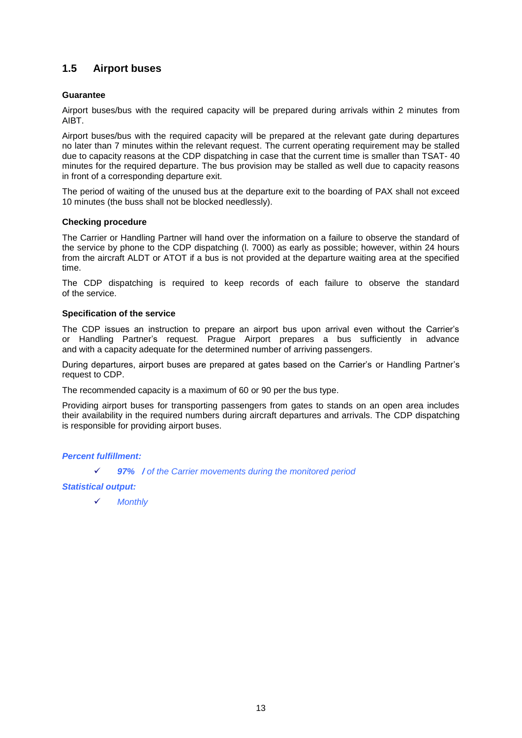# **1.5 Airport buses**

## **Guarantee**

Airport buses/bus with the required capacity will be prepared during arrivals within 2 minutes from AIBT.

Airport buses/bus with the required capacity will be prepared at the relevant gate during departures no later than 7 minutes within the relevant request. The current operating requirement may be stalled due to capacity reasons at the CDP dispatching in case that the current time is smaller than TSAT- 40 minutes for the required departure. The bus provision may be stalled as well due to capacity reasons in front of a corresponding departure exit.

The period of waiting of the unused bus at the departure exit to the boarding of PAX shall not exceed 10 minutes (the buss shall not be blocked needlessly).

## **Checking procedure**

The Carrier or Handling Partner will hand over the information on a failure to observe the standard of the service by phone to the CDP dispatching (l. 7000) as early as possible; however, within 24 hours from the aircraft ALDT or ATOT if a bus is not provided at the departure waiting area at the specified time.

The CDP dispatching is required to keep records of each failure to observe the standard of the service.

#### **Specification of the service**

The CDP issues an instruction to prepare an airport bus upon arrival even without the Carrier's or Handling Partner's request. Prague Airport prepares a bus sufficiently in advance and with a capacity adequate for the determined number of arriving passengers.

During departures, airport buses are prepared at gates based on the Carrier's or Handling Partner's request to CDP.

The recommended capacity is a maximum of 60 or 90 per the bus type.

Providing airport buses for transporting passengers from gates to stands on an open area includes their availability in the required numbers during aircraft departures and arrivals. The CDP dispatching is responsible for providing airport buses.

## *Percent fulfillment:*

*97% / of the Carrier movements during the monitored period*

## *Statistical output:*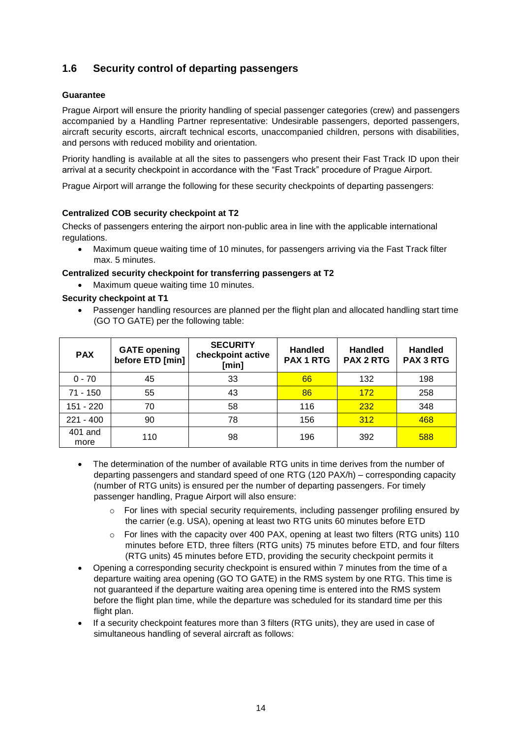# **1.6 Security control of departing passengers**

## **Guarantee**

Prague Airport will ensure the priority handling of special passenger categories (crew) and passengers accompanied by a Handling Partner representative: Undesirable passengers, deported passengers, aircraft security escorts, aircraft technical escorts, unaccompanied children, persons with disabilities, and persons with reduced mobility and orientation.

Priority handling is available at all the sites to passengers who present their Fast Track ID upon their arrival at a security checkpoint in accordance with the "Fast Track" procedure of Prague Airport.

Prague Airport will arrange the following for these security checkpoints of departing passengers:

#### **Centralized COB security checkpoint at T2**

Checks of passengers entering the airport non-public area in line with the applicable international regulations.

 Maximum queue waiting time of 10 minutes, for passengers arriving via the Fast Track filter max. 5 minutes.

#### **Centralized security checkpoint for transferring passengers at T2**

• Maximum queue waiting time 10 minutes.

#### **Security checkpoint at T1**

 Passenger handling resources are planned per the flight plan and allocated handling start time (GO TO GATE) per the following table:

| <b>PAX</b>      | <b>GATE opening</b><br>before ETD [min] | <b>SECURITY</b><br>checkpoint active<br>[min] | <b>Handled</b><br><b>PAX 1 RTG</b> | <b>Handled</b><br><b>PAX 2 RTG</b> | <b>Handled</b><br><b>PAX 3 RTG</b> |
|-----------------|-----------------------------------------|-----------------------------------------------|------------------------------------|------------------------------------|------------------------------------|
| $0 - 70$        | 45                                      | 33                                            | 66                                 | 132                                | 198                                |
| $71 - 150$      | 55                                      | 43                                            | 86                                 | 172                                | 258                                |
| 151 - 220       | 70                                      | 58                                            | 116                                | 232                                | 348                                |
| $221 - 400$     | 90                                      | 78                                            | 156                                | 312                                | 468                                |
| 401 and<br>more | 110                                     | 98                                            | 196                                | 392                                | 588                                |

- The determination of the number of available RTG units in time derives from the number of departing passengers and standard speed of one RTG (120 PAX/h) – corresponding capacity (number of RTG units) is ensured per the number of departing passengers. For timely passenger handling, Prague Airport will also ensure:
	- $\circ$  For lines with special security requirements, including passenger profiling ensured by the carrier (e.g. USA), opening at least two RTG units 60 minutes before ETD
	- o For lines with the capacity over 400 PAX, opening at least two filters (RTG units) 110 minutes before ETD, three filters (RTG units) 75 minutes before ETD, and four filters (RTG units) 45 minutes before ETD, providing the security checkpoint permits it
- Opening a corresponding security checkpoint is ensured within 7 minutes from the time of a departure waiting area opening (GO TO GATE) in the RMS system by one RTG. This time is not guaranteed if the departure waiting area opening time is entered into the RMS system before the flight plan time, while the departure was scheduled for its standard time per this flight plan.
- If a security checkpoint features more than 3 filters (RTG units), they are used in case of simultaneous handling of several aircraft as follows: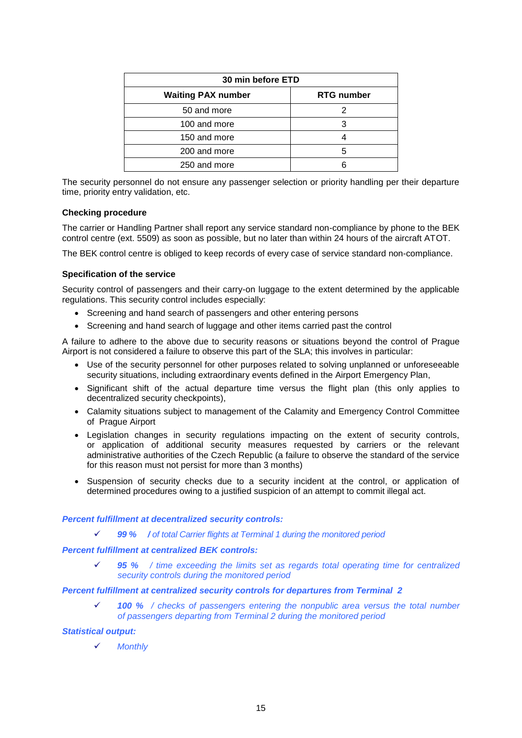| 30 min before ETD         |                   |  |
|---------------------------|-------------------|--|
| <b>Waiting PAX number</b> | <b>RTG number</b> |  |
| 50 and more               |                   |  |
| 100 and more              |                   |  |
| 150 and more              |                   |  |
| 200 and more              | ҕ                 |  |
| 250 and more              |                   |  |

The security personnel do not ensure any passenger selection or priority handling per their departure time, priority entry validation, etc.

#### **Checking procedure**

The carrier or Handling Partner shall report any service standard non-compliance by phone to the BEK control centre (ext. 5509) as soon as possible, but no later than within 24 hours of the aircraft ATOT.

The BEK control centre is obliged to keep records of every case of service standard non-compliance.

#### **Specification of the service**

Security control of passengers and their carry-on luggage to the extent determined by the applicable regulations. This security control includes especially:

- Screening and hand search of passengers and other entering persons
- Screening and hand search of luggage and other items carried past the control

A failure to adhere to the above due to security reasons or situations beyond the control of Prague Airport is not considered a failure to observe this part of the SLA; this involves in particular:

- Use of the security personnel for other purposes related to solving unplanned or unforeseeable security situations, including extraordinary events defined in the Airport Emergency Plan,
- Significant shift of the actual departure time versus the flight plan (this only applies to decentralized security checkpoints),
- Calamity situations subject to management of the Calamity and Emergency Control Committee of Prague Airport
- Legislation changes in security regulations impacting on the extent of security controls, or application of additional security measures requested by carriers or the relevant administrative authorities of the Czech Republic (a failure to observe the standard of the service for this reason must not persist for more than 3 months)
- Suspension of security checks due to a security incident at the control, or application of determined procedures owing to a justified suspicion of an attempt to commit illegal act.

#### *Percent fulfillment at decentralized security controls:*

*99 % / of total Carrier flights at Terminal 1 during the monitored period*

#### *Percent fulfillment at centralized BEK controls:*

 *95 % / time exceeding the limits set as regards total operating time for centralized security controls during the monitored period*

## *Percent fulfillment at centralized security controls for departures from Terminal 2*

 *100 % / checks of passengers entering the nonpublic area versus the total number of passengers departing from Terminal 2 during the monitored period*

#### *Statistical output:*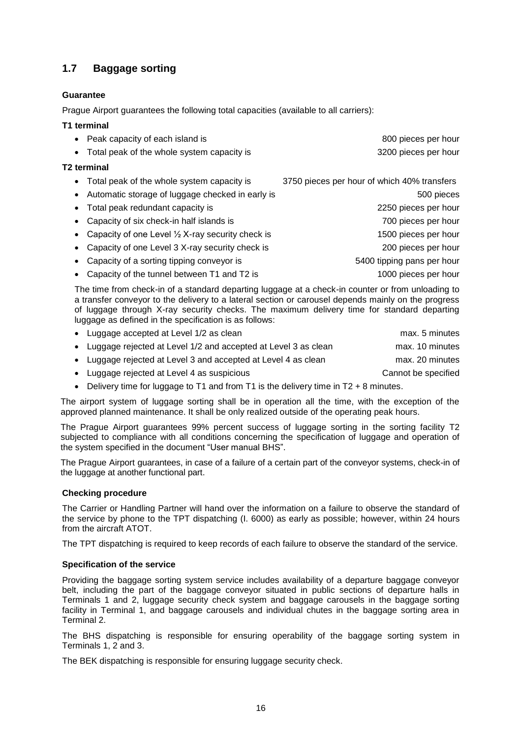# **1.7 Baggage sorting**

# **Guarantee**

Prague Airport guarantees the following total capacities (available to all carriers):

# **T1 terminal**

|           | • Peak capacity of each island is                           | 800 pieces per hour                         |
|-----------|-------------------------------------------------------------|---------------------------------------------|
| $\bullet$ | Total peak of the whole system capacity is                  | 3200 pieces per hour                        |
|           | <b>T2 terminal</b>                                          |                                             |
|           | • Total peak of the whole system capacity is                | 3750 pieces per hour of which 40% transfers |
|           | Automatic storage of luggage checked in early is            | 500 pieces                                  |
|           | Total peak redundant capacity is                            | 2250 pieces per hour                        |
|           | Capacity of six check-in half islands is                    | 700 pieces per hour                         |
|           | Capacity of one Level $\frac{1}{2}$ X-ray security check is | 1500 pieces per hour                        |
|           | Capacity of one Level 3 X-ray security check is             | 200 pieces per hour                         |
|           | Capacity of a sorting tipping conveyor is                   | 5400 tipping pans per hour                  |

• Capacity of the tunnel between T1 and T2 is 1000 pieces per hour

The time from check-in of a standard departing luggage at a check-in counter or from unloading to a transfer conveyor to the delivery to a lateral section or carousel depends mainly on the progress of luggage through X-ray security checks. The maximum delivery time for standard departing luggage as defined in the specification is as follows:

| • Luggage accepted at Level 1/2 as clean                         | max. 5 minutes      |
|------------------------------------------------------------------|---------------------|
| • Luggage rejected at Level 1/2 and accepted at Level 3 as clean | max. 10 minutes     |
| • Luggage rejected at Level 3 and accepted at Level 4 as clean   | max. 20 minutes     |
| • Luggage rejected at Level 4 as suspicious                      | Cannot be specified |

 $\bullet$  Delivery time for luggage to T1 and from T1 is the delivery time in T2 + 8 minutes.

The airport system of luggage sorting shall be in operation all the time, with the exception of the approved planned maintenance. It shall be only realized outside of the operating peak hours.

The Prague Airport guarantees 99% percent success of luggage sorting in the sorting facility T2 subjected to compliance with all conditions concerning the specification of luggage and operation of the system specified in the document "User manual BHS".

The Prague Airport guarantees, in case of a failure of a certain part of the conveyor systems, check-in of the luggage at another functional part.

## **Checking procedure**

The Carrier or Handling Partner will hand over the information on a failure to observe the standard of the service by phone to the TPT dispatching (I. 6000) as early as possible; however, within 24 hours from the aircraft ATOT.

The TPT dispatching is required to keep records of each failure to observe the standard of the service.

## **Specification of the service**

Providing the baggage sorting system service includes availability of a departure baggage conveyor belt, including the part of the baggage conveyor situated in public sections of departure halls in Terminals 1 and 2, luggage security check system and baggage carousels in the baggage sorting facility in Terminal 1, and baggage carousels and individual chutes in the baggage sorting area in Terminal 2.

The BHS dispatching is responsible for ensuring operability of the baggage sorting system in Terminals 1, 2 and 3.

The BEK dispatching is responsible for ensuring luggage security check.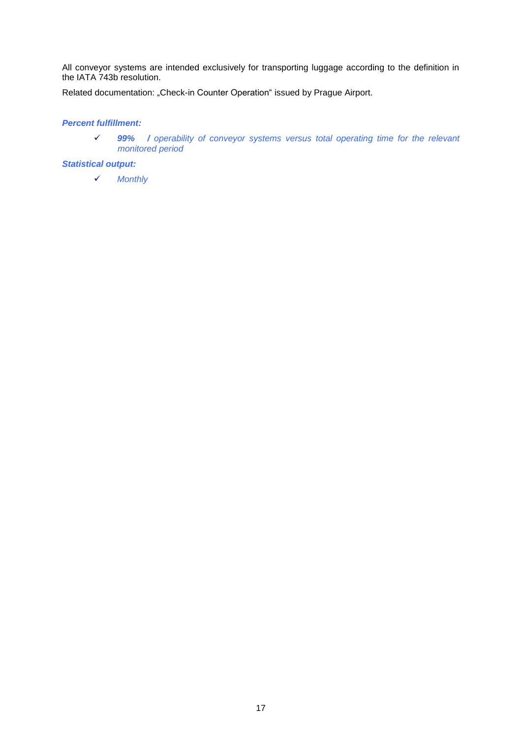All conveyor systems are intended exclusively for transporting luggage according to the definition in the IATA 743b resolution.

Related documentation: "Check-in Counter Operation" issued by Prague Airport.

# *Percent fulfillment:*

 *99% / operability of conveyor systems versus total operating time for the relevant monitored period*

#### *Statistical output:*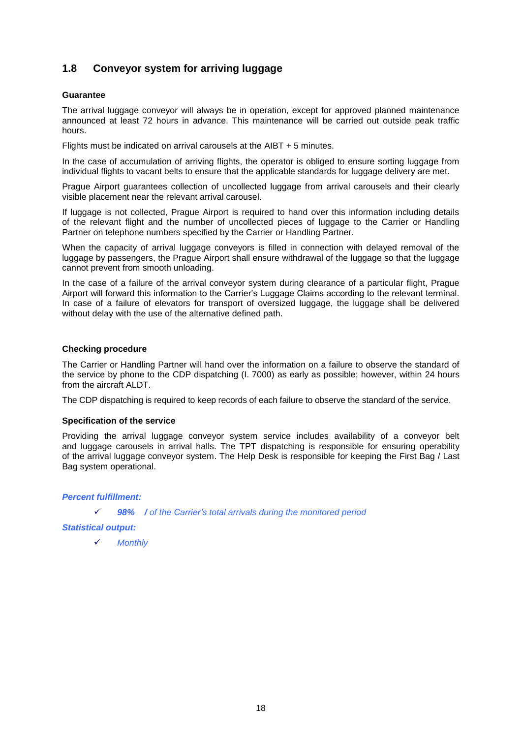# **1.8 Conveyor system for arriving luggage**

#### **Guarantee**

The arrival luggage conveyor will always be in operation, except for approved planned maintenance announced at least 72 hours in advance. This maintenance will be carried out outside peak traffic hours.

Flights must be indicated on arrival carousels at the AIBT + 5 minutes.

In the case of accumulation of arriving flights, the operator is obliged to ensure sorting luggage from individual flights to vacant belts to ensure that the applicable standards for luggage delivery are met.

Prague Airport guarantees collection of uncollected luggage from arrival carousels and their clearly visible placement near the relevant arrival carousel.

If luggage is not collected, Prague Airport is required to hand over this information including details of the relevant flight and the number of uncollected pieces of luggage to the Carrier or Handling Partner on telephone numbers specified by the Carrier or Handling Partner.

When the capacity of arrival luggage conveyors is filled in connection with delayed removal of the luggage by passengers, the Prague Airport shall ensure withdrawal of the luggage so that the luggage cannot prevent from smooth unloading.

In the case of a failure of the arrival conveyor system during clearance of a particular flight, Prague Airport will forward this information to the Carrier's Luggage Claims according to the relevant terminal. In case of a failure of elevators for transport of oversized luggage, the luggage shall be delivered without delay with the use of the alternative defined path.

## **Checking procedure**

The Carrier or Handling Partner will hand over the information on a failure to observe the standard of the service by phone to the CDP dispatching (I. 7000) as early as possible; however, within 24 hours from the aircraft ALDT.

The CDP dispatching is required to keep records of each failure to observe the standard of the service.

#### **Specification of the service**

Providing the arrival luggage conveyor system service includes availability of a conveyor belt and luggage carousels in arrival halls. The TPT dispatching is responsible for ensuring operability of the arrival luggage conveyor system. The Help Desk is responsible for keeping the First Bag / Last Bag system operational.

#### *Percent fulfillment:*

*98% / of the Carrier's total arrivals during the monitored period*

*Statistical output:*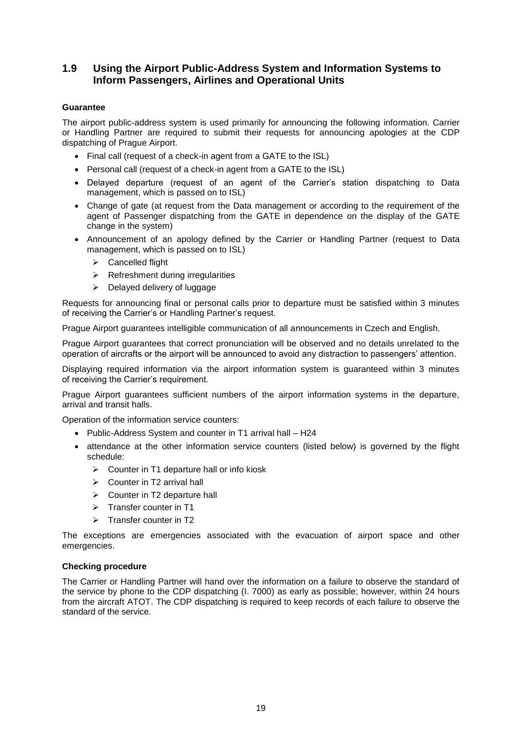# **1.9 Using the Airport Public-Address System and Information Systems to Inform Passengers, Airlines and Operational Units**

# **Guarantee**

The airport public-address system is used primarily for announcing the following information. Carrier or Handling Partner are required to submit their requests for announcing apologies at the CDP dispatching of Prague Airport.

- Final call (request of a check-in agent from a GATE to the ISL)
- Personal call (request of a check-in agent from a GATE to the ISL)
- Delayed departure (request of an agent of the Carrier's station dispatching to Data management, which is passed on to ISL)
- Change of gate (at request from the Data management or according to the requirement of the agent of Passenger dispatching from the GATE in dependence on the display of the GATE change in the system)
- Announcement of an apology defined by the Carrier or Handling Partner (request to Data management, which is passed on to ISL)
	- $\triangleright$  Cancelled flight
	- $\triangleright$  Refreshment during irregularities
	- $\triangleright$  Delayed delivery of luggage

Requests for announcing final or personal calls prior to departure must be satisfied within 3 minutes of receiving the Carrier's or Handling Partner's request.

Prague Airport guarantees intelligible communication of all announcements in Czech and English.

Prague Airport guarantees that correct pronunciation will be observed and no details unrelated to the operation of aircrafts or the airport will be announced to avoid any distraction to passengers' attention.

Displaying required information via the airport information system is guaranteed within 3 minutes of receiving the Carrier's requirement.

Prague Airport guarantees sufficient numbers of the airport information systems in the departure, arrival and transit halls.

Operation of the information service counters:

- Public-Address System and counter in T1 arrival hall H24
- attendance at the other information service counters (listed below) is governed by the flight schedule:
	- $\triangleright$  Counter in T1 departure hall or info kiosk
	- $\triangleright$  Counter in T2 arrival hall
	- $\triangleright$  Counter in T2 departure hall
	- $\triangleright$  Transfer counter in T1
	- $\triangleright$  Transfer counter in T2

The exceptions are emergencies associated with the evacuation of airport space and other emergencies.

## **Checking procedure**

The Carrier or Handling Partner will hand over the information on a failure to observe the standard of the service by phone to the CDP dispatching (I. 7000) as early as possible; however, within 24 hours from the aircraft ATOT. The CDP dispatching is required to keep records of each failure to observe the standard of the service.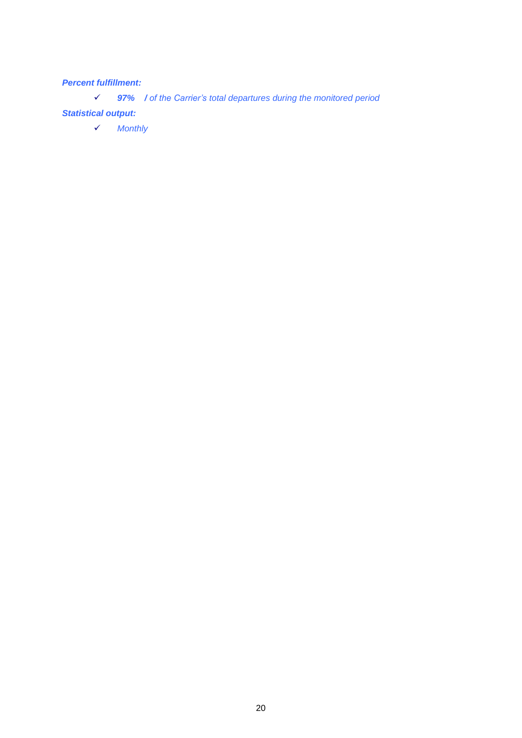# *Percent fulfillment:*

*97% / of the Carrier's total departures during the monitored period*

# *Statistical output:*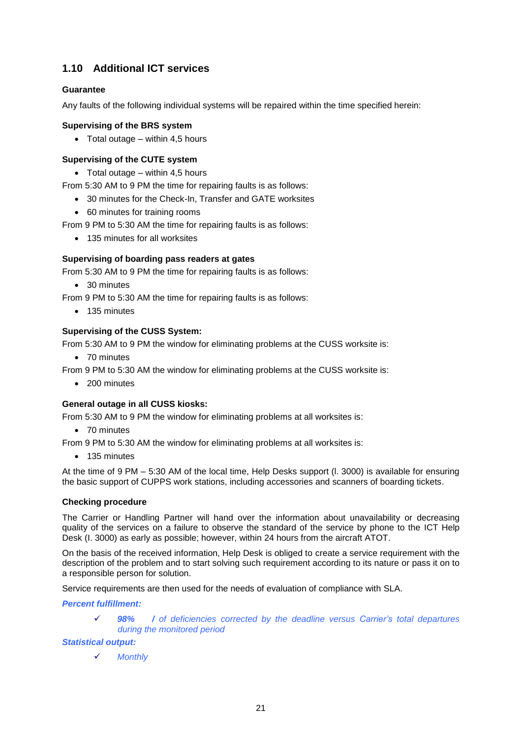# **1.10 Additional ICT services**

# **Guarantee**

Any faults of the following individual systems will be repaired within the time specified herein:

# **Supervising of the BRS system**

 $\bullet$  Total outage – within 4,5 hours

# **Supervising of the CUTE system**

 $\bullet$  Total outage – within 4,5 hours

From 5:30 AM to 9 PM the time for repairing faults is as follows:

- 30 minutes for the Check-In, Transfer and GATE worksites
- 60 minutes for training rooms

From 9 PM to 5:30 AM the time for repairing faults is as follows:

• 135 minutes for all worksites

# **Supervising of boarding pass readers at gates**

From 5:30 AM to 9 PM the time for repairing faults is as follows:

• 30 minutes

From 9 PM to 5:30 AM the time for repairing faults is as follows:

• 135 minutes

# **Supervising of the CUSS System:**

From 5:30 AM to 9 PM the window for eliminating problems at the CUSS worksite is:

• 70 minutes

From 9 PM to 5:30 AM the window for eliminating problems at the CUSS worksite is:

• 200 minutes

## **General outage in all CUSS kiosks:**

From 5:30 AM to 9 PM the window for eliminating problems at all worksites is:

• 70 minutes

From 9 PM to 5:30 AM the window for eliminating problems at all worksites is:

• 135 minutes

At the time of 9 PM – 5:30 AM of the local time, Help Desks support (l. 3000) is available for ensuring the basic support of CUPPS work stations, including accessories and scanners of boarding tickets.

## **Checking procedure**

The Carrier or Handling Partner will hand over the information about unavailability or decreasing quality of the services on a failure to observe the standard of the service by phone to the ICT Help Desk (I. 3000) as early as possible; however, within 24 hours from the aircraft ATOT.

On the basis of the received information, Help Desk is obliged to create a service requirement with the description of the problem and to start solving such requirement according to its nature or pass it on to a responsible person for solution.

Service requirements are then used for the needs of evaluation of compliance with SLA.

*Percent fulfillment:*

 *98% / of deficiencies corrected by the deadline versus Carrier's total departures during the monitored period*

## *Statistical output:*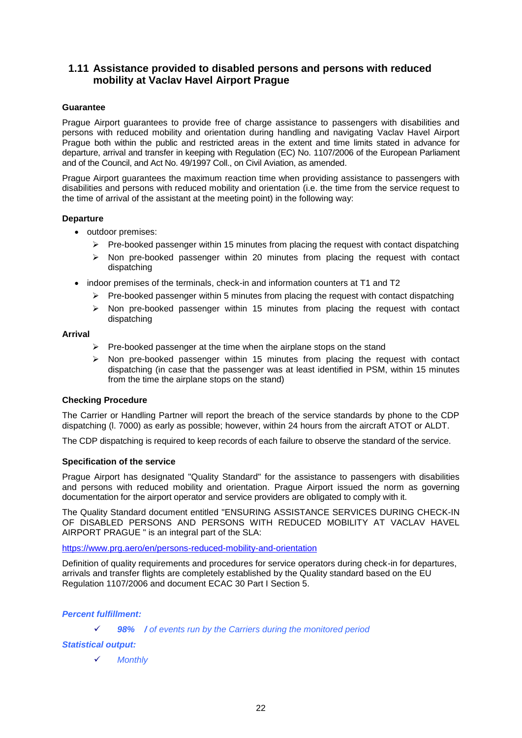# **1.11 Assistance provided to disabled persons and persons with reduced mobility at Vaclav Havel Airport Prague**

## **Guarantee**

Prague Airport guarantees to provide free of charge assistance to passengers with disabilities and persons with reduced mobility and orientation during handling and navigating Vaclav Havel Airport Prague both within the public and restricted areas in the extent and time limits stated in advance for departure, arrival and transfer in keeping with Regulation (EC) No. 1107/2006 of the European Parliament and of the Council, and Act No. 49/1997 Coll., on Civil Aviation, as amended.

Prague Airport guarantees the maximum reaction time when providing assistance to passengers with disabilities and persons with reduced mobility and orientation (i.e. the time from the service request to the time of arrival of the assistant at the meeting point) in the following way:

#### **Departure**

- outdoor premises:
	- $\triangleright$  Pre-booked passenger within 15 minutes from placing the request with contact dispatching
	- $\triangleright$  Non pre-booked passenger within 20 minutes from placing the request with contact dispatching
- indoor premises of the terminals, check-in and information counters at T1 and T2
	- $\triangleright$  Pre-booked passenger within 5 minutes from placing the request with contact dispatching
	- $\triangleright$  Non pre-booked passenger within 15 minutes from placing the request with contact dispatching

#### **Arrival**

- $\triangleright$  Pre-booked passenger at the time when the airplane stops on the stand
- $\triangleright$  Non pre-booked passenger within 15 minutes from placing the request with contact dispatching (in case that the passenger was at least identified in PSM, within 15 minutes from the time the airplane stops on the stand)

## **Checking Procedure**

The Carrier or Handling Partner will report the breach of the service standards by phone to the CDP dispatching (l. 7000) as early as possible; however, within 24 hours from the aircraft ATOT or ALDT.

The CDP dispatching is required to keep records of each failure to observe the standard of the service.

#### **Specification of the service**

Prague Airport has designated "Quality Standard" for the assistance to passengers with disabilities and persons with reduced mobility and orientation. Prague Airport issued the norm as governing documentation for the airport operator and service providers are obligated to comply with it.

The Quality Standard document entitled "ENSURING ASSISTANCE SERVICES DURING CHECK-IN OF DISABLED PERSONS AND PERSONS WITH REDUCED MOBILITY AT VACLAV HAVEL AIRPORT PRAGUE " is an integral part of the SLA:

#### <https://www.prg.aero/en/persons-reduced-mobility-and-orientation>

Definition of quality requirements and procedures for service operators during check-in for departures, arrivals and transfer flights are completely established by the Quality standard based on the EU Regulation 1107/2006 and document ECAC 30 Part I Section 5.

## *Percent fulfillment:*

#### *98% / of events run by the Carriers during the monitored period*

#### *Statistical output:*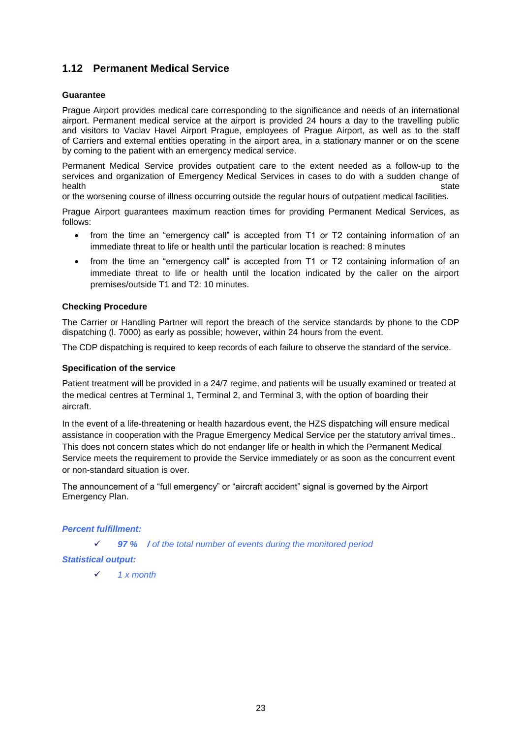# **1.12 Permanent Medical Service**

## **Guarantee**

Prague Airport provides medical care corresponding to the significance and needs of an international airport. Permanent medical service at the airport is provided 24 hours a day to the travelling public and visitors to Vaclav Havel Airport Prague, employees of Prague Airport, as well as to the staff of Carriers and external entities operating in the airport area, in a stationary manner or on the scene by coming to the patient with an emergency medical service.

Permanent Medical Service provides outpatient care to the extent needed as a follow-up to the services and organization of Emergency Medical Services in cases to do with a sudden change of health state is a state of the state of the state of the state state is state in the state  $\sim$ 

or the worsening course of illness occurring outside the regular hours of outpatient medical facilities.

Prague Airport guarantees maximum reaction times for providing Permanent Medical Services, as follows:

- from the time an "emergency call" is accepted from T1 or T2 containing information of an immediate threat to life or health until the particular location is reached: 8 minutes
- from the time an "emergency call" is accepted from T1 or T2 containing information of an immediate threat to life or health until the location indicated by the caller on the airport premises/outside T1 and T2: 10 minutes.

#### **Checking Procedure**

The Carrier or Handling Partner will report the breach of the service standards by phone to the CDP dispatching (l. 7000) as early as possible; however, within 24 hours from the event.

The CDP dispatching is required to keep records of each failure to observe the standard of the service.

#### **Specification of the service**

Patient treatment will be provided in a 24/7 regime, and patients will be usually examined or treated at the medical centres at Terminal 1, Terminal 2, and Terminal 3, with the option of boarding their aircraft.

In the event of a life-threatening or health hazardous event, the HZS dispatching will ensure medical assistance in cooperation with the Prague Emergency Medical Service per the statutory arrival times.. This does not concern states which do not endanger life or health in which the Permanent Medical Service meets the requirement to provide the Service immediately or as soon as the concurrent event or non-standard situation is over.

The announcement of a "full emergency" or "aircraft accident" signal is governed by the Airport Emergency Plan.

## *Percent fulfillment:*

*97 % / of the total number of events during the monitored period*

## *Statistical output:*

*1 x month*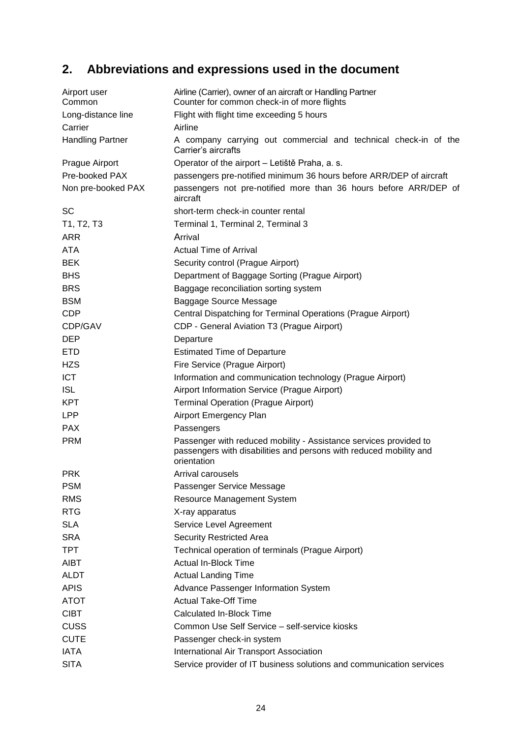# **2. Abbreviations and expressions used in the document**

| Airport user<br>Common  | Airline (Carrier), owner of an aircraft or Handling Partner<br>Counter for common check-in of more flights                                             |
|-------------------------|--------------------------------------------------------------------------------------------------------------------------------------------------------|
| Long-distance line      | Flight with flight time exceeding 5 hours                                                                                                              |
| Carrier                 | Airline                                                                                                                                                |
| <b>Handling Partner</b> | A company carrying out commercial and technical check-in of the<br>Carrier's aircrafts                                                                 |
| Prague Airport          | Operator of the airport - Letiště Praha, a. s.                                                                                                         |
| Pre-booked PAX          | passengers pre-notified minimum 36 hours before ARR/DEP of aircraft                                                                                    |
| Non pre-booked PAX      | passengers not pre-notified more than 36 hours before ARR/DEP of<br>aircraft                                                                           |
| <b>SC</b>               | short-term check-in counter rental                                                                                                                     |
| T1, T2, T3              | Terminal 1, Terminal 2, Terminal 3                                                                                                                     |
| <b>ARR</b>              | Arrival                                                                                                                                                |
| <b>ATA</b>              | <b>Actual Time of Arrival</b>                                                                                                                          |
| <b>BEK</b>              | Security control (Prague Airport)                                                                                                                      |
| <b>BHS</b>              | Department of Baggage Sorting (Prague Airport)                                                                                                         |
| <b>BRS</b>              | Baggage reconciliation sorting system                                                                                                                  |
| <b>BSM</b>              | Baggage Source Message                                                                                                                                 |
| <b>CDP</b>              | Central Dispatching for Terminal Operations (Prague Airport)                                                                                           |
| CDP/GAV                 | CDP - General Aviation T3 (Prague Airport)                                                                                                             |
| <b>DEP</b>              | Departure                                                                                                                                              |
| <b>ETD</b>              | <b>Estimated Time of Departure</b>                                                                                                                     |
| <b>HZS</b>              | Fire Service (Prague Airport)                                                                                                                          |
| <b>ICT</b>              | Information and communication technology (Prague Airport)                                                                                              |
| <b>ISL</b>              | Airport Information Service (Prague Airport)                                                                                                           |
| <b>KPT</b>              | <b>Terminal Operation (Prague Airport)</b>                                                                                                             |
| <b>LPP</b>              | Airport Emergency Plan                                                                                                                                 |
| <b>PAX</b>              | Passengers                                                                                                                                             |
| <b>PRM</b>              | Passenger with reduced mobility - Assistance services provided to<br>passengers with disabilities and persons with reduced mobility and<br>orientation |
| <b>PRK</b>              | Arrival carousels                                                                                                                                      |
| <b>PSM</b>              | Passenger Service Message                                                                                                                              |
| <b>RMS</b>              | Resource Management System                                                                                                                             |
| <b>RTG</b>              | X-ray apparatus                                                                                                                                        |
| <b>SLA</b>              | Service Level Agreement                                                                                                                                |
| <b>SRA</b>              | <b>Security Restricted Area</b>                                                                                                                        |
| <b>TPT</b>              | Technical operation of terminals (Prague Airport)                                                                                                      |
| <b>AIBT</b>             | <b>Actual In-Block Time</b>                                                                                                                            |
| <b>ALDT</b>             | <b>Actual Landing Time</b>                                                                                                                             |
| <b>APIS</b>             | Advance Passenger Information System                                                                                                                   |
| <b>ATOT</b>             | <b>Actual Take-Off Time</b>                                                                                                                            |
| <b>CIBT</b>             | <b>Calculated In-Block Time</b>                                                                                                                        |
| <b>CUSS</b>             | Common Use Self Service - self-service kiosks                                                                                                          |
| <b>CUTE</b>             | Passenger check-in system                                                                                                                              |
| <b>IATA</b>             | International Air Transport Association                                                                                                                |
| <b>SITA</b>             | Service provider of IT business solutions and communication services                                                                                   |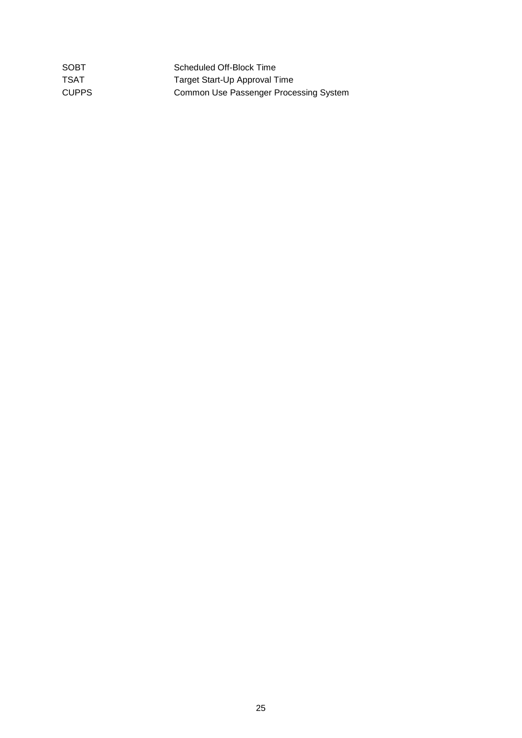| SOBT  | Scheduled Off-Block Time               |
|-------|----------------------------------------|
| TSAT  | Target Start-Up Approval Time          |
| CUPPS | Common Use Passenger Processing System |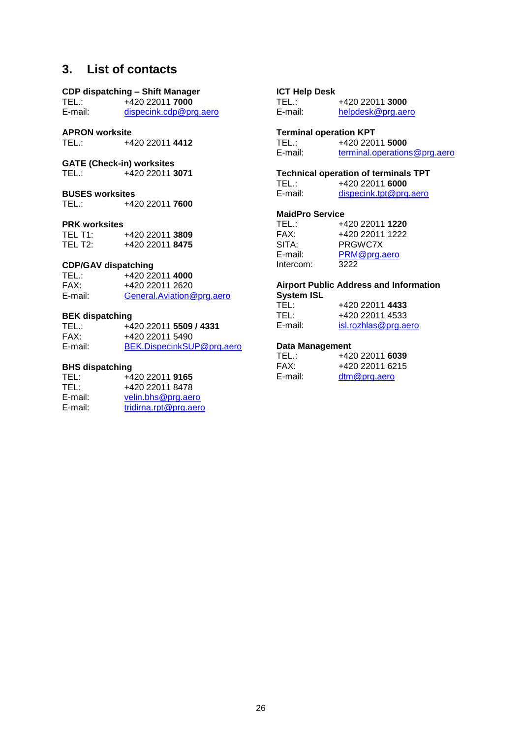# **3. List of contacts**

# **CDP dispatching – Shift Manager**

TEL.: +420 22011 **7000**<br>E-mail: dispecink.cdp@pr [dispecink.cdp@prg.aero](mailto:dispecink.cdp@prg.aero)

# **APRON worksite**

TEL.: +420 22011 **4412**

# **GATE (Check-in) worksites**

TEL.: +420 22011 **3071**

# **BUSES worksites**<br>TEL.: +42

TEL.: +420 22011 **7600**

#### **PRK worksites**

| TEL T1: | +420 22011 3809 |  |
|---------|-----------------|--|
| TEL T2: | +420 22011 8475 |  |

#### **CDP/GAV dispatching**

| TEL.:   | +420 22011 4000           |
|---------|---------------------------|
| FAX:    | +420 22011 2620           |
| E-mail: | General.Aviation@prg.aero |

#### **BEK dispatching**

| TEL :-  | +420 22011 5509 / 4331    |
|---------|---------------------------|
| FAX:    | +420 22011 5490           |
| E-mail: | BEK.DispecinkSUP@prg.aero |

#### **BHS dispatching**

| +420 22011 9165       |
|-----------------------|
| +420 22011 8478       |
| velin.bhs@prg.aero    |
| tridirna.rpt@prg.aero |
|                       |

# **ICT Help Desk**

TEL.: +420 22011 **3000**<br>E-mail: helpdesk@prg.ae [helpdesk@prg.aero](mailto:helpdesk@prg.aero)

# **Terminal operation KPT**<br>TEL.: +420 220

TEL.: +420 22011 **5000**<br>E-mail: terminal.operation [terminal.operations@prg.aero](mailto:terminal.operations@prg.aero)

# **Technical operation of terminals TPT**<br>TEL.: +420 22011 **6000**

TEL.: +420 22011 **6000**<br>E-mail: dispecink.tpt@prg [dispecink.tpt@prg.aero](mailto:dispecink.tpt@prg.aero)

#### **MaidPro Service**

| TEL :     | +420 22011 1220 |
|-----------|-----------------|
| FAX:      | +420 22011 1222 |
| SITA:     | PRGWC7X         |
| E-mail:   | PRM@prg.aero    |
| Intercom: | 3222            |

#### **Airport Public Address and Information System ISL**

| TEL:    | +420 22011 4433      |
|---------|----------------------|
| TEL:    | +420 22011 4533      |
| E-mail: | isl.rozhlas@prg.aero |

#### **Data Management**

| TEL.:   | +420 22011 6039    |
|---------|--------------------|
| FAX:    | +420 22011 6215    |
| E-mail: | $\dim @$ prg. aero |